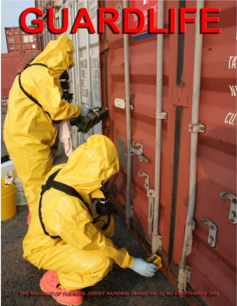THE MAGARINE OF THE NEW JERSEY NATIONAL GUARD VOL 31. No.4 SEPTEMBER 2005

 $\blacksquare$ 

an<br>Ma

A

経営団

C

T

g

E

**TA** 

W

 $\ell$ U.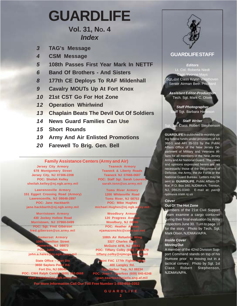# **GUARDLIFE**

**Vol. 31, NO. 4** *Index*

- *3* **TAG's Message**
- *4* **CSM Message**
- *5* **108th Passes First Year Mark In NETTF**
- *6* **Band Of Brothers - And Sisters**
- *8* **177th CE Deploys To RAF Mildenhall**
- *9* **Cavalry MOUTs Up At Fort Knox**
- *10* **21st CST Go For Hot Zone**
- *12* **Operation Whirlwind**
- *13* **Chaplain Beats The Devil Out Of Soldiers**
- *14* **News Guard Families Can Use**
- *15* **Short Rounds**
- *19* **Army And Air Enlisted Promotions**
- *20* **Farewell To Brig. Gen. Bell**

#### **Family Assistance Centers (Army and Air)**

**Jersey City Armory 678 Montgomery Street Jersey City, NJ 07306-2208 POC: Sheilah Kelley sheilah.kelley@nj.ngb.army.mil**

**Lawrenceville Armory 151 Eggert Crossing Road (Armory) Lawrenceville, NJ 08648-2897 POC: Jane Hackbarth jane.hackbarth@nj.ngb.army.mil**

> **Morristown Armory 430 Jockey Hollow Road Morristown, NJ 07960-0499 POC: Sgt. Fred Giberson fred.giberson@us.army.mil**

**Somerset Armory 1060 Hamilton Street Somerset, NJ 08873 POC: John A. Hales john.a.hales@nj.ngb.army.mil**

**State Office – Fort Dix 3650 Saylors Pond Rd. Fort Dix, NJ 0864 POC: CW4 Ralph Cwieka (609) 5 ralph.cwieka@nj.** 

**For More Information Call Our Toll Free Number 1-888-859-0352**

**Teaneck Armory Teaneck & Liberty Roads Teaneck NJ 07666-0687 POC: Staff Sqt. Sarah Loureiro sarah.tonn@us.army.mil**

**Toms River Armory 1200 Whitesville Road Toms River, NJ 08753 POC: Mike Hughes michael.Hughes@nj.ngb.army.mil**

**Woodbury Armor 120 Progress Ave Woodbury, NJ 08 POC: Heather A njamazonchic@con** 

**108th Air Refuelin 3327 Charles Bl McGuire AFB, NJ POC: Tiffany Colby (60) tiffany.colby@njmcgu** 

**pint FAC 177th Fighte 400 Langley Rd. Egg Harbor Twp, NJ 08234 POC: Joan F. Searfoss (609) 645-6248 joan.searfoss@njatla.ang.af.mil**



### **GUARDLIFE STAFF**

*Editors* Capt. Yvonne Mays Sgt. 1st Class Krynn Westhoven Senior Airman Beth Pritchard

*Assistant Editor-Production* Tech. Sgt. Mark C. Olsen

*Staff Photographer* Staff Sgt. Barbara Harbison

*Staff Writer* st Class Robert Stephenson

**GUARDLIFE** is published bi-monthly using federal funds under provisions of AR 360-1 and AFI 35-101 by the Public Affairs Office of the New Jersey Department of Military and Veterans Affairs for all members of the New Jersey Army and Air National Guard. The views and opinions expressed herein are not necessarily those of the Department of Defense, the Army, the Air Force or the National Guard Bureau. Letters may be sent to: **GUARDLIFE**, Public Affairs Office, P.O. Box 340, NJDMAVA, Trenton, NJ, 08625-0340. E-mail at: *pao@ njdmava.state.nj.us*

#### *Cover* **Out Of The Hot Zone**

Members of the 21st Civil Support team examine a cargo container during their final evaluation by Army inspectors June 30. Turn to page 10 for the story. Photo by Tech. Sgt. Mark Olsen, NJDMAVA/PA.

#### *Inside Cover* **Moving Out**

A member of the 42nd Division Support Command stands on top of his Humvee prior to moving out in a tactical convey. Photo by Sgt. 1st Class Robert Stephenson, NJDMAVA/PA.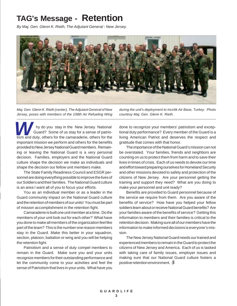## **TAG's Message - Retention**

*By Maj. Gen. Glenn K. Rieth, The Adjutant General - New Jersey*



*Maj. Gen. Glenn K. Rieth (center), The Adjutant General of New Jersey, poses with members of the 108th Air Refueling Wing*

*during the unit's deployment to Incirlik Air Base, Turkey. Photo courtesy Maj. Gen. Glenn K. Rieth.*

**WAREN AND AND AND AN ONE OF A SOME OF A SOME OF A SUBARY OF A SUBARY OF A SUBARY OF A SUBARY OF A SUBARY AND THE STATE OF THE CALCE OF A SUBARY OF A SUBARY OF A SUBARY OF A SUBARY OF A SUBARY OF A SUBARY OF A SUBARY OF A**  Guard? Some of us stay for a sense of patriotism and duty, others for the camaraderie, others for the important mission we perform and others for the benefits provided to New Jersey National Guard members. Remaining or leaving the National Guard is a very personal decision. Families, employers and the National Guard culture shape the decision we make as individuals and shape the decision our fellow unit members make.

The State Family Readiness Council and ESGR personnel are doing everything possible to improve the lives of our Soldiers and their families. The National Guard culture is an area I want all of you to focus your efforts.

You as an individual member or as a leader in the Guard community impact on the National Guard culture and the retention of members of our units! You must be part of mission accomplishment in the retention fight.

Camaraderie is built one unit member at a time. Do the members of your unit look out for each other? What have you done to make all members of the organization feel like part of the team? This is the number one reason members stay in the Guard. Make this better in your squadron, section, platoon, battalion or wing and you will be helping the retention fight.

Patriotism and a sense of duty compel members to remain in the Guard. Make sure you and your units recognize members for their outstanding performance and let the community come to your activities and feel the sense of Patriotism that lives in your units. What have you done to recognize your members' patriotism and exceptional duty performance? Every member of the Guard is a living American Patriot and deserves the respect and gratitude that comes with that honor.

The importance of the National Guard's mission can not be overstated. Your families, friends and neighbors are counting on us to protect them from harm and to save their lives in times of crisis. Each of us needs to devote our time and effort toward preparing ourselves for Homeland Security and other missions devoted to safety and protection of the citizens of New Jersey. Are your personnel getting the training and support they need? What are you doing to make your personnel and unit ready?

Benefits are provided to Guard personnel because of the service we require from them. Are you aware of the benefits of service? How have you helped your fellow soldiers learn about or receive National Guard benefits? Are your families aware of the benefits of service? Getting this information to members and their families is critical to the retention decision. Making sure all of our members have the information to make informed decisions is everyone's mission.

The New Jersey National Guard needs our trained and experienced members to remain in the Guard to protect the citizens of New Jersey and America. Each of us is tasked with taking care of family issues, employer issues and making sure that our National Guard culture fosters a positive retention environment.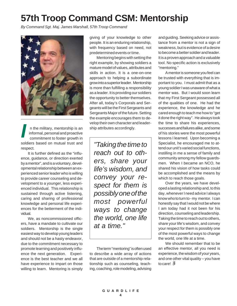## **57th Troop Command CSM: Mentorship**

*By Command Sgt. Maj. James Marshall, 57th Troop Command*



 n the military, mentorship is an informal, personal and proactive commitment to foster growth in soldiers based on mutual trust and respect. *I*

It is further defined as the "influence, guidance, or direction exerted by a mentor", and is a voluntary, developmental relationship between an experienced senior leader who is willing to provide career counseling and development to a younger, less experienced individual. This relationship is sustained through active listening, caring and sharing of professional knowledge and personal life experiences for the betterment of the individual.

We, as noncommissioned officers, have a mandate to cultivate our soldiers. Mentorship is the single easiest way to develop young leaders and should not be a hasty endeavor, due to the commitment necessary to promote learning and positively influence the next generation. Experience is the best teacher and we all have experience to impart on those willing to learn. Mentoring is simply

giving of your knowledge to other people. It is an enduring relationship, with frequency based on need, not predetermined events or time.

Mentoring begins with setting the right example, by showing soldiers a mature model of values, attributes and skills in action. It is a one-on-one approach to helping a subordinate grow into a superior leader. Mentorship is more than fulfilling a responsibility as a leader. It is providing our soldiers the opportunity to better themselves. After all, today's Corporals and Sergeants will be the First Sergeants and Sergeants Major of the future. Setting the example encourages them to develop their own character and leadership attributes accordingly.

*"Taking the time to reach out to others, share your life's wisdom, and convey your respect for them is possibly one of the most powerful ways to change the world, one life at a time."*

The term "mentoring" is often used to describe a wide array of actions that are outside of a mentorship relationship such as counseling, teaching, coaching, role modeling, advising

and guiding. Seeking advice or assistance from a mentor is not a sign of weakness, but is evidence of a desire to become a better soldier and leader. It is a proven approach and a valuable tool. No specific action is exclusively "mentoring."

A mentor is someone you feel can be trusted with everything that is important to you. I must admit that as a young soldier I was unaware of what a mentor was. But I would soon learn that my First Sergeant possessed all of the qualities of one. He had the experience, the knowledge and he cared enough to teach me how to "get it done the right way". He always took the time to share his experiences, successes and failures alike, and some of his stories were the most powerful lessons I learned. Upon becoming a Specialist, he encouraged me to attend our unit's varied social functions, instilling in me a sense of family and community among my fellow guardsmen. When I became an NCO, he shared his vision of how tasks could be accomplished and the means by which to reach those goals.

Over the years, we have developed a lasting relationship and, to this day, whenever I need advice I always know who to turn to - my mentor. I can honestly say that I would not be where I am today had it not been for his direction, counseling and leadership. Taking the time to reach out to others, share your life's wisdom, and convey your respect for them is possibly one of the most powerful ways to change the world, one life at a time.

We should remember that to be an effective mentor, all you need is experience, the wisdom of your years, and one other vital quality – you have to care!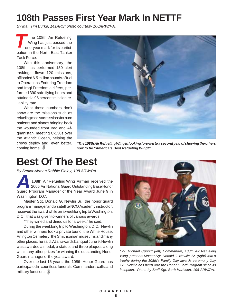## **108th Passes First Year Mark In NETTF**

*By Maj. Tim Burke, 141ARS; photo courtesy 108ARW/PA.*

he 108th Air Refueling Wing has just passed the one-year mark for its participation in the North East Tanker Task Force. *T*

With this anniversary, the 108th has performed 150 alert taskings, flown 120 missions, offloaded 6.5 million pounds of fuel to Operations Enduring Freedom and Iraqi Freedom airlifters, performed 390 safe flying hours and attained a 96 percent mission reliability rate.

What these numbers don't show are the missions such as refueling medivac missions for burn patients and planes bringing back the wounded from Iraq and Afghanistan, meeting C-130s over the Atlantic Ocean, helping the crews deploy and, even better, coming home.



*"The 108th Air Refueling Wing is looking forward to a second year of showing the others how to be "America's Best Refueling Wing!"*

## **Best Of The Best**

*By Senior Airman Robbie Finley, 108 ARW/PA*

 108th Air Refueling Wing Airman received the 2005 Air National Guard Outstanding Base Honor 108th Air Refueling Wing Airman received the<br>2005 Air National Guard Outstanding Base Honor<br>Guard Program Manager of the Year Award June 9 in Washington, D.C.

Master Sgt. Donald G. Newlin Sr., the honor guard program manager and a satellite NCO Academy instructor, received the award while on a weeklong trip to Washington, D.C., that was given to winners of various awards.

"They wined and dined us for a week," he said.

During the weeklong trip to Washington, D.C., Newlin and other winners took a private tour of the White House, Arlington Cemetery, the Smithsonian museums and many other places, he said. At an awards banquet June 9, Newlin was awarded a medal, a statue, and three plaques along with many other prizes for winning the outstanding Honor Guard manager of the year award.

Over the last 16 years, the 108th Honor Guard has participated in countless funerals, Commanders calls, and military functions. 5



*Col. Michael Cunniff (left) Commander, 108th Air Refueling Wing, presents Master Sgt. Donald G. Newlin, Sr. (right) with a trophy during the 108th's Family Day awards ceremony July 17. Newlin has been with the Honor Guard Program since its inception. Photo by Staff Sgt. Barb Harbison, 108 ARW/PA.*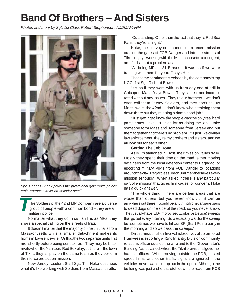## **Band Of Brothers – And Sisters**

*Photos and story by Sgt. 1st Class Robert Stephenson, NJDMAVA/PA*

![](_page_5_Picture_2.jpeg)

*Spc. Charles Snook patrols the provisional governor's palace main entrance while on security detail.*

 he Soldiers of the 42nd MP Company are a diverse group of people with a common bond – they are all military police. *T*

No matter what they do in civilian life, as MPs, they share a special calling on the streets of Iraq.

It doesn't matter that the majority of the unit hails from Massachusetts while a smaller detachment makes its home in Lawrenceville. Or that the two separate units first met shortly before being sent to Iraq. They may be bitter rivals when the Yankees-Red Sox play, but here in the town of Tikrit, they all play on the same team as they perform their force protection mission.

New Jersey resident Staff Sgt. Tim Hoke describes what it's like working with Soldiers from Massachusetts.

"Outstanding. Other than the fact that they're Red Sox Fans, they're all right."

Hoke, the convoy commander on a recent mission outside the gates of FOB Danger and into the streets of Tikrit, enjoys working with the Massachusetts contingent, and finds it not a problem at all.

"All being  $MP$ 's  $-31$  Bravos  $-$  it was as if we were training with them for years," says Hoke.

That same sentiment is echoed by the company's top NCO, 1st Sgt. Richard Bowe.

"It's as if they were with us from day one at drill in Chicopee, Mass," says Bowe. "They came in and incorporated without any issues. They're our brothers – we don't even call them Jersey Soldiers, and they don't call us Mass, we're the 42nd. I don't know who's training them down there but they're doing a damn good job."

"Just getting to know the people was the only real hard part," notes Hoke. "But as far as doing the job – take someone form Mass and someone from Jersey and put them together and there's no problem. It's just like civilian law enforcement, they're my brothers and sisters, and we all look out for each other."

#### **Getting The Job Done**

As MP's stationed in Tikrit, their mission varies daily. Mostly they spend their time on the road, either moving detainees from the local detention center to Baghdad, or escorting military VIP's from FOB Danger to locations around the city. Regardless, each unit member takes every mission seriously. When asked if there is any particular part of a mission that gives him cause for concern, Hoke has a quick answer.

"The whole thing. There are certain areas that are worse than others, but you never know . . . it can be anywhere out there. It could be anything from garbage bags to dead dogs on the side of the road, so you never know. They usually have IED (Improvised Explosive Device) sweeps that go out every morning. So we usually wait for the sweep but sometimes we have to hit our SP (Start Point) early in the morning and so we pass the sweeps."

On this mission, their five-vehicle convoy of up-armored Humvees is escorting a 42nd Infantry Division community relations officer outside the wire and to the "Governator's Building," as it's called, where the Tikrit provisional governor has his offices. When moving outside the FOB, posted speed limits and other traffic signs are ignored – the vehicles never want to stop out in the open. Although the building was just a short stretch down the road from FOB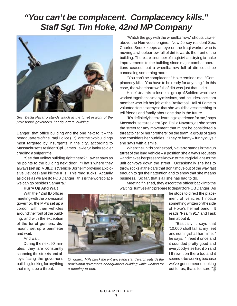## *"You can't be complacent. Complacency kills." Staff Sgt. Tim Hoke, 42nd MP Company*

![](_page_6_Picture_1.jpeg)

*Spc. Dalila Navarro stands watch in the turret in front of the provisional governor's headquarters building.*

Danger, that office building and the one next to it  $-$  the headquarters of the Iraqi Police (IP), are the two buildings most targeted by insurgents in the city, according to Massachusetts resident Cpl. James Lawler, a lanky soldier cradling a sniper rifle.

"See that yellow building right there?" Lawler says as he points to the building next door. "That's where they always [set up] VBIED's (Vehicle Borne Improvised Explosive Devices) and kill the IP's. This road sucks. Actually as close as we are [to FOB Danger], this is the worst place we can go besides Samarra."

**Hurry Up And Wait**

With the 42nd ID officer meeting with the provisional governor, the MP's set up a cordon with their vehicles around the front of the building, and with the exception of the turret gunners, dismount, set up a perimeter and wait.

And wait.

During the next 90 minutes, they are constantly scanning the streets and alleys facing the governor's building, looking for anything that might be a threat.

![](_page_6_Picture_9.jpeg)

*On guard. MPs block the entrance and stand watch outside the provisional governor's headquarters building while waiting for a meeting to end.*

"Watch the guy with the wheelbarrow," shouts Lawler above the Humvee's engine. New Jersey resident Spc. Charles Snook keeps an eye on the Iraqi worker who is moving a wheelbarrow full of dirt towards the front of the building. There are a number of Iraqi civilians trying to make improvements to the building since major combat operations ceased, but a wheelbarrow full of dirt could be concealing something more.

"You can't be complacent," Hoke reminds me. "Complacency kills. You have to be ready for anything." In this case, the wheelbarrow full of dirt was just that – dirt.

Hoke's team is a close-knit group of Soldiers who have worked together on many missions, and includes one team member who left her job at the Basketball Hall of Fame to volunteer for the army so that she would have something to tell friends and family about one day in the future.

"It's definitely been a learning experience for me," says Massachusetts resident Spc. Dalila Navarro, as she scans the street for any movement that might be considered a threat to her or her "brothers" on the team, a group of guys she considers her buddies. "They're funny – funny guys," she says with a smile.

When the unit is on the road, Navarro stands in the gun turret of the lead vehicle – a position she always requests – and makes her presence known to the Iraqi civilians as the unit convoys down the street. Occasionally she has to throw rocks at the cars that don't move out of the way fast enough to get their attention and to show that she means business. So far, that's all she has had to do.

Meeting finished, they escort the officer back into the waiting Humvee and prepare to depart for FOB Danger. As

> he stops to direct the placement of vehicles I notice something written on the side of Hoke's helmet band. It reads "Psalm 91," and I ask him about it.

"Basically it says that '10,000 shall fall at my feet and nothing shall harm me,'" he says. "I read it once and it sounded pretty good and everybody else had it on and I threw it on there too and it seems to be working because we've got someone looking out for us, that's for sure."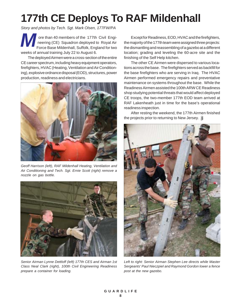# **177th CE Deploys To RAF Mildenhall**

*Story and photos by Tech. Sgt. Mark Olsen, 177FW/PA*

 ore than 40 members of the 177th Civil Engi neering (CE) Squadron deployed to Royal Air Force Base Mildenhall, Suffolk, England for two weeks of annual training July 22 to August 6. *M*

The deployed Airmen were a cross-section of the entire CE career spectrum, including heavy equipment operators, firefighters, HVAC (Heating, Ventilation and Air Conditioning), explosive ordnance disposal (EOD), structures, power production, readiness and electricians.

![](_page_7_Picture_4.jpeg)

*Geoff Harrison (left), RAF Mildenhall Heating, Ventilation and Air Conditioning and Tech. Sgt. Ernie Scott (right) remove a nozzle on gas bottle.*

![](_page_7_Picture_6.jpeg)

*Senior Airman Lynne Dettloff (left) 177th CES and Airman 1st Class Neal Clark (right), 100th Civil Engineering Readiness prepare a container for loading.*

Except for Readiness, EOD, HVAC and the firefighters, the majority of the 177th team were assigned three projects: the dismantling and reassembling of a gazebo at a different location; grading and leveling the 60-acre site and the finishing of the Self Help kitchen.

The other CE Airmen were dispersed to various locations across the base. The firefighters served as backfill for the base firefighters who are serving in Iraq. The HVAC Airmen performed emergency repairs and preventative maintenance on systems throughout the base. While the Readiness Airmen assisted the 100th ARW CE Readiness shop studying potential threats that would affect deployed CE troops, the two-member 177th EOD team arrived at RAF Lakenheath just in time for the base's operational readiness inspection.

After resting the weekend, the 177th Airmen finished the projects prior to returning to New Jersey.

![](_page_7_Picture_11.jpeg)

*Left to right: Senior Airman Stephen Lee directs while Master Sergeants' Paul Nieczpiel and Raymond Gordon lower a fence post at the new gazebo.*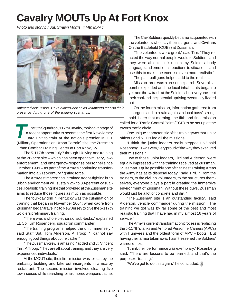## **Cavalry MOUTs Up At Fort Knox**

*Photo and story by Sgt. Shawn Morris, 444th MPAD*

![](_page_8_Picture_2.jpeg)

*Animated discussion. Cav Soldiers look on as volunteers react to their presence during one of the training scenarios.*

he 5th Squadron, 117th Cavalry, took advantage of a recent opportunity to become the first New Jersey Guard unit to train at the nation's premier MOUT (Military Operations on Urban Terrain) site, the Zussman Urban Combat Training Center at Fort Knox, Ky. *T*

The 5-117th spent July 7 through 10 living and training at the 26-acre site – which has been open to military, lawenforcement, and emergency-response personnel since October 1999 – as part of the Army's continuing transformation into a 21st-century fighting force.

The Army estimates that untrained troops fighting in an urban environment will sustain 25- to 30-percent casualties. Realistic training like that provided at the Zussman site aims to reduce those figures as much as possible.

The four-day drill in Kentucky was the culmination of training that began in November 2004; when cadre from Zussman began traveling to New Jersey to give the 5-117th Soldiers preliminary training.

"There was a whole plethora of sub-tasks," explained Lt. Col. Jim Rosenberg, squadron commander.

"The training programs helped the unit immensely," said Staff Sgt. Tom Alderson, A Troop. "I cannot say enough good things about the cadre."

"The Zussman crew is amazing," added 2nd Lt. Vincent Tirri, A Troop. "They are all about training, and they are very experienced individuals."

At the MOUT site, their first mission was to occupy the embassy building and take out insurgents in a nearby restaurant. The second mission involved clearing five townhouses while searching for a rumored weapons cache.

The Cav Soldiers quickly became acquainted with the volunteers who play the insurgents and Civilians On the Battlefield (COBs) at Zussman.

"The volunteers were great," said Tirri. "They reacted the way normal people would to Soldiers, and they were able to pick up on my Soldiers' body language and emotional reactions to situations, and use this to make the exercise even more realistic."

The paintball guns helped add to the realism.

Mission three was a presence patrol. Several car bombs exploded and the local inhabitants began to yell and throw trash at the Soldiers, but everyone kept their cool and the potential uprising eventually fizzled out.

On the fourth mission, information gathered from insurgents led to a raid against a local boss' stronghold. Later that morning, the fifth and final mission called for a Traffic Control Point (TCP) to be set up at the town's traffic circle.

One unique characteristic of the training was that junior officers and NCOs led all the missions.

"I think the junior leaders really stepped up," said Rosenberg. "I was very, very proud of the way they executed their missions."

Two of those junior leaders, Tirri and Alderson, were equally impressed with the training received at Zussman. "Zussman is quite possibly one of the finest Training Areas the Army has at its disposal today," said Tirri. "From the trainers, to the civilian volunteers, to the structures themselves, everyone plays a part in creating the immersive environment of Zussman. Without these guys, Zussman would just be a lot of concrete and dirt."

"The Zussman site is an outstanding facility," said Alderson, vehicle commander during the mission. "The training we got was by far some of the best and most realistic training that I have had in my almost 16 years of service."

The Army's current transformation process is replacing the 5-117th's tanks and Armored Personnel Carriers (APCs) with Humvees and the oldest form of APC – boots. But having their armor taken away hasn't lessened the Soldiers' warrior ethos.

"I think their performance was exemplary," Rosenberg said. "There are lessons to be learned, and that's the purpose of training."

"We've got to do this again," he concluded.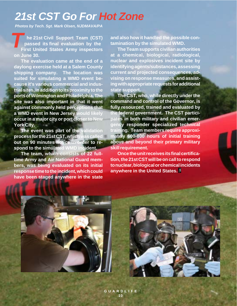## *21st CST Go For Hot Zone*

*Photos by Tech. Sgt. Mark Olsen, NJDMAVA/PA*

 **he 21st Civil Support Team (CST) passed its final evaluation by the First United States Army inspectors on June 30.** *T*

**The evaluation came at the end of a daylong exercise held at a Salem County shipping company. The location was suited for simulating a WMD event because it's various commercial and industrial sites, in addition to its proximity to the ports of Wilmington and Philadelphia. The site was also important in that it went against commonly held perceptions that a WMD event in New Jersey would likely occur in a major city or port closer to New York City.**

**The event was part of the validation process for the 21st CST, which out on 90 minutes notice in order to respond to the simulated WMD incident.**

**The team, which consists of 22 fulltime Army and Air National Guard members, was being evaluated on its initial response time to the incident, which could have been staged anywhere in the state** **and also how it handled the possible contamination by the simulated WMD.**

**The Team supports civilian authorities at a chemical, biological, radiological, nuclear and explosives incident site by identifying agents/substances, assessing current and projected consequences, advising on response measures, and assisting with appropriate requests for additional state support.**

**The CST, who, while directly under the command and control of the Governor, is fully resourced, trained and evaluated by the federal government. The CST participates in both military and civilian emergency responder specialized technical training. Team members require approximately 600-800 hours of initial training above and beyond their primary military skill requirement.**

**Once the unit receives its final certification, the 21st CST will be on call to respond to nuclear, biological or chemical incidents anywhere in the United States.**

![](_page_9_Picture_10.jpeg)

![](_page_9_Picture_11.jpeg)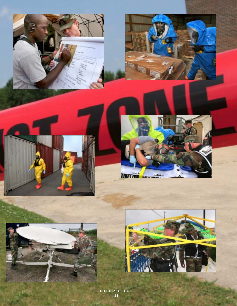![](_page_10_Picture_0.jpeg)

![](_page_10_Picture_1.jpeg)

![](_page_10_Picture_2.jpeg)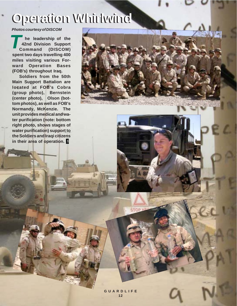# **Operation Whirlwind Operation Whirlwind**

*Photos courtesy of DISCOM*

 **he leadership of the 42nd Division Support Command (DISCOM) spent two days travelling 400 miles visiting various Forward Operation Bases (FOB's) throughout Iraq.** *T*

**Soldiers from the 50th Main Support Battalion are located at FOB's Cobra (group photo), Bernstein (center photo), Olson (bottom photos), as well as FOB's Normandy, McKenzie. The unit provides medical and water purification (note: bottom right photo, shows stages of water purification) support to the Soldiers and Iraqi citizens in their area of operation.**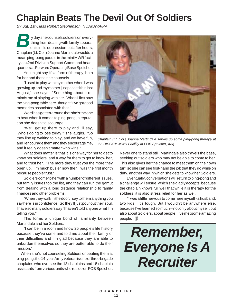## **Chaplain Beats The Devil Out Of Soldiers**

*By Sgt. 1st Class Robert Stephenson, NJDMAVA/PA*

 y day she counsels soldiers on everything from dealing with family separa tion to mild depression,but after hours, Chaplain (Lt. Col.) Joanne Martindale wields a mean ping-pong paddle in the mini MWR facility at 42nd Division Support Command headquarters at Forward Operating Base Speicher. *B*

You might say it's a form of therapy, both for her and those she counsels.

"I used to play with my mother when I was growing up and my mother just passed this last August," she says. "Something about it reminds me of playing with her. When I first saw the ping-pong table here I thought "I've got good memories associated with that."

Word has gotten around that she's the one to beat when it comes to ping-pong, a reputation she doesn't discourage.

"We'll get up there to play and I'll say, 'Who's going to lose today,'" she laughs. "So they line up waiting to play, and we have fun, and I encourage them and they encourage me, and it really doesn't matter who wins."

What does matter is that it is one way for her to get to know her soldiers, and a way for them to get to know her, and to trust her. "The more they trust you the more they open up. I'm much busier now then I was the first month because people trust."

Soldiers come to her with a number of different issues, but family issues top the list, and they can run the gamut from dealing with a long distance relationship to family finances and other problems.

"When they walk in the door, I say to them anything you say here is in confidence. So they'll just pour out their soul. I have so many soldiers say 'I haven't told anyone what I'm telling you.'"

This forms a unique bond of familiarity between Martindale and her Soldiers.

"I can be in a room and know 25 people's life history because they've come and told me about their family or their difficulties and I'm glad because they are able to unburden themselves so they are better able to do their mission."

 When she's not counseling Soldiers or beating them at ping-pong, the 14-year Army veteran is one of three brigade chaplains who oversee the 13 chaplains and 15 chaplain assistants from various units who reside on FOB Speicher.

![](_page_12_Picture_13.jpeg)

*Chaplain (Lt. Col.) Joanne Martindale serves up some ping-pong therapy at the DISCOM MWR Facility at FOB Speicher, Iraq.*

Never one to stand still, Martindale also travels the base, seeking out soldiers who may not be able to come to her. This also gives her the chance to meet them on their own turf, so she can see first-hand the job that they do while on duty, another way in which she gets to know her Soldiers.

Eventually, conversations will return to ping-pong and a challenge will ensue, which she gladly accepts, because the chaplain knows full well that while it is therapy for the soldiers, it is also stress relief for her as well.

 "I was a little nervous to come here myself - a husband, two kids. It's tough. But I wouldn't be anywhere else, because I've learned so much – not only about myself, but also about Soldiers, about people. I've met some amazing people." 3

![](_page_12_Picture_18.jpeg)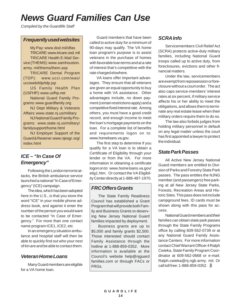## *News Guard Families Can Use*

*Compiled by the Guardlife Staff*

### *Frequently used websites*

My Pay: www.dod.mil/dfas TRICARE: www.tricare.osd. mil TRICARE Health E-Mail Service (THEMS): www.samhouston. army. mil/thems/them.asp

TRICARE Dental Program (TDP): www.ucci.com/was/ ucciweb/tdp/tdp.jsp

US Family Health Plan (USFHP): www.usfhp.net

National Guard Family Programs: www.guardfamily.org

NJ Dept Military & Veterans Affairs: www.state.nj.us/military

NJ National Guard Family Programs: www.state.nj.us/military/ familysupport/home.html

NJ Employer Support of the Guard & Reserve: www.njesgr. org/ index.html

### *ICE – "In Case Of Emergency"*

Following the London terrorist attacks, the British ambulance service launched a national "In Case of Emergency" (ICE) campaign.

The idea, which has been adopted here in the U.S., is that you store the word "ICE" in your mobile phone address book, and against it enter the number of the person you would want to be contacted "In Case of Emergency." For more than one contact name program ICE1, ICE2, etc.

In an emergency situation ambulance and hospital staff will then be able to quickly find out who your next of kin are and be able to contact them.

### *Veteran Home Loans*

Many Guard members are eligible for a VA home loan.

Guard members that have been called to active duty for a minimum of 90-days may qualify. The VA home loan program's purpose is to assist veterans in the purchase of homes with favorable loan terms and at a rate of interest that's competitive with the rate charged elswhere.

VA loans offer important advantages. They ensure that all veterans are given an equal opportunity to buy a home with VA assistance. Other advantages include, no down payment (certain restrictions apply) and a competitive fixed interest rate. Among others, you must have a good credit record, and enough income to meet the loan's mortgage payments on the loan. For a complete list of benefits and requirements logon on to: www.homeloans.va.gov.

The first step to determine if you qualify for a VA loan is to obtain a Certificate of Eligibility through your lender or from the VA. For more information in obtaining a certificate logon on to: www.home loans.va.gov/ elig1.htm. Or contact the VA Eligibility Center directly at 1-888-487-1970.

### *FRC Offers Grants*

The State Family Readiness Council has established a Grant Program that will provide both Family and Business Grants to deserving New Jersey National Guard families impacted by deployment.

Business grants are up to \$5,000 and family grants \$2,500. Those interested should contact Family Assistance through the hotline at 1-888-859-0352. More information is available at the Council's website help@njguard families.com or through FACs or FRGs.

### *SCRA Info*

Servicemembers Civil Relief Act (SCRA) protects active-duty military families, including National Guard troops called up to active duty, from foreclosures, evictions and other financial matters.

Under the law, servicemembers are exempt from repossession or foreclosure without a court order. The act also caps service-members' interest rates at six percent, if military service affects his or her ability to meet the obligations, and allows them to terminate any real estate lease when their military orders require them to do so.

The law also forbids judges from holding military personnel in default on any legal matter unless the court has first appointed a lawyer to protect the individual.

### *State Park Passes*

All Active New Jersey National Guard members are entitled to Division of Parks and Forestry State Park passes. The pass entitles the NJNG member (and passengers) free parking at all New Jersey State Parks, Forests, Recreation Areas and Historic Sites. This pass does not include campground fees. ID cards must be shown along with this pass for access.

National Guard members and their families can obtain state park passes through the State Family Programs office by calling 609-562-0739 or at any National Guard Family Assistance Centers. For more information contact Chief Warrant Officer 4 Ralph Cwieka, State Family Program Coordinator at 609-562-0668 or e-mail: Ralph.cwieka@nj.ngb.army. mil. Or call toll free: 1-888-859-0352.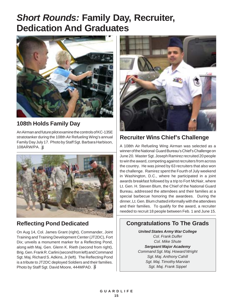## *Short Rounds:* **Family Day, Recruiter, Dedication And Graduates**

![](_page_14_Picture_1.jpeg)

## **108th Holds Family Day**

An Airman and future pilot examine the controls of KC-135E stratotanker during the 108th Air Refueling Wing's annual Family Day July 17. Photo by Staff Sgt. Barbara Harbison, 108ARW/PA. 2

![](_page_14_Picture_4.jpeg)

## **Reflecting Pond Dedicated**

On Aug 14, Col. James Grant (right), Commander, Joint Training and Training Development Center (JT2DC), Fort Dix; unveils a monument marker for a Reflecting Pond, along with Maj. Gen. Glenn K. Rieth (second from right), Brig. Gen. Frank R. Carlini (second from left) and Command Sgt. Maj. Richard S. Adkins, Jr (left). The Reflecting Pond is a tribute to JT2DC deployed Soldiers and their families. Photo by Staff Sgt. David Moore, 444MPAD.

![](_page_14_Picture_7.jpeg)

## **Recruiter Wins Chief's Challenge**

A 108th Air Refueling Wing Airman was selected as a winner of the National Guard Bureau's Chief's Challenge on June 20. Master Sgt. Joseph Ramirez recruited 20 people to win the award, competing against recruiters from across the country. He was joined by 63 recruiters that also won the challenge. Ramirez spent the Fourth of July weekend in Washington, D.C., where he participated in a joint awards breakfast followed by a trip to Fort McNair, where Lt. Gen. H. Steven Blum, the Chief of the National Guard Bureau, addressed the attendees and their families at a special barbecue honoring the awardees. During the dinner, Lt. Gen. Blum chatted informally with the attendees and their families. To qualify for the award, a recruiter needed to recruit 18 people between Feb. 1 and June 15.

## **Congratulations To The Grads**

*United States Army War College Col. Frank Dulfer Col. Mike Shute Sergeant Major Academy Command Sgt. Maj. Howard Wright Sgt. Maj. Anthony Cahill Sgt. Maj. Timothy Marvian Sgt. Maj. Frank Sippel*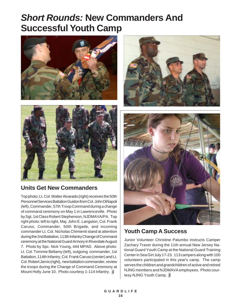## *Short Rounds:* **New Commanders And Successful Youth Camp**

![](_page_15_Picture_1.jpeg)

![](_page_15_Picture_2.jpeg)

## **Units Get New Commanders**

Top photo: Lt. Col. Walter Alvarado (right) receives the 50th Personnel Services Battalion Guidon from Col. John DiNapoli (left), Commander, 57th Troop Command during a change of command ceremony on May 1 in Lawrenceville. Photo by Sgt. 1st Class Robert Stephenson, NJDMAVA/PA. Top right photo: left to right, Maj. John E. Langston, Col. Frank Caruso, Commander, 50th Brigade, and incoming commander Lt. Col. Nicholas Chimienti stand at attention during the 2nd Battalion, 113th Infantry Change of Command ceremony at the National Guard Armory in Riverdale August 7. Photo by Spc. Nick Young, 444 MPAD. Above photo: Lt. Col. Tommie Bellamy (left), outgoing commander, 1st Battalion, 114th Infantry, Col. Frank Caruso (center) and Lt. Col. Robert Jarvis (right), new battalion commander, review the troops during the Change of Command Ceremony at Mount Holly June 10. Photo courtesy 1-114 Infantry.

![](_page_15_Picture_5.jpeg)

![](_page_15_Picture_6.jpeg)

## **Youth Camp A Success**

Junior Volunteer Christine Palumbo instructs Camper Zachary Traver during the 11th annual New Jersey National Guard Youth Camp at the National Guard Training Center in Sea Girt July 17-23. 113 campers along with 100 volunteers participated in this year's camp. The camp serves the children and grandchildren of active and retired NJNG members and NJDMAVA employees. Photo courtesy NJNG Youth Camp. 5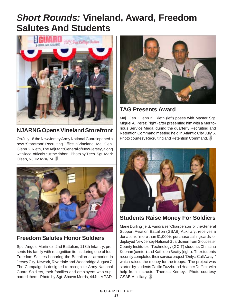## *Short Rounds:* **Vineland, Award, Freedom Salutes And Students**

![](_page_16_Picture_1.jpeg)

### **NJARNG Opens Vineland Storefront**

On July 18 the New Jersey Army National Guard opened a new "Storefront" Recruiting Office in Vineland. Maj. Gen. Glenn K. Rieth, The Adjutant General of New Jersey, along with local officals cut the ribbon. Photo by Tech. Sgt. Mark Olsen, NJDMAVA/PA.

![](_page_16_Picture_4.jpeg)

## **Freedom Salutes Honor Soldiers**

Spc. Angelo Martinez, 2nd Battalion, 113th Infantry, presents his family with recognition items during one of four Freedom Salutes honoring the Battalion at armories in Jersey City, Newark, Riverdale and Woodbridge August 7. The Campaign is designed to recognize Army National Guard Soldiers, their families and employers who supported them. Photo by Sgt. Shawn Morris, 444th MPAD.

![](_page_16_Picture_7.jpeg)

### **TAG Presents Award**

Maj. Gen. Glenn K. Rieth (left) poses with Master Sgt. Miguel A. Perez (right) after presenting him with a Meritorious Service Medal during the quarterly Recruiting and Retention Command meeting held in Atlantic City July 6. Photo courtesy Recruiting and Retention Command.

![](_page_16_Picture_10.jpeg)

## **Students Raise Money For Soldiers**

Marie Durling (left), Fundraiser Chairperson for the General Support Aviation Battalion (GSAB) Auxiliary, receives a donation of more than \$1,000 to purchase calling cards for deployed New Jersey National Guardsmen from Gloucester County Institute of Technology (GCIT) students Christina Keenan (center) and Kathleen Beatty (right). The students recently completed their service project "Only a Call Away," which raised the money for the troops. The project was started by students Caitlin Fazzio and Heather Duffield with help from Instructor Theresa Kerney. Photo courtesy **GSAB Auxiliary.** 5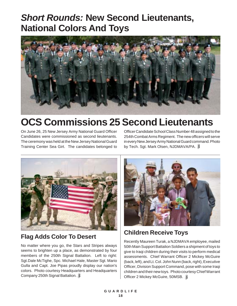## *Short Rounds:* **New Second Lieutenants, National Colors And Toys**

![](_page_17_Picture_1.jpeg)

## **OCS Commissions 25 Second Lieutenants**

On June 26, 25 New Jersey Army National Guard Officer Candidates were commissioned as second lieutenants. The ceremony was held at the New Jersey National Guard Training Center Sea Girt. The candidates belonged to

Officer Candidate School Class Number 48 assigned to the 254th Combat Arms Regiment. The new officers will serve in every New Jersey Army National Guard command. Photo by Tech. Sgt. Mark Olsen, NJDMAVA/PA.

![](_page_17_Picture_5.jpeg)

## **Flag Adds Color To Desert**

No matter where you go, the Stars and Stripes always seems to brighten up a place, as demonstrated by four members of the 250th Signal Battalion. Left to right: Sgt.Dale McTighe, Spc. Michael Hale, Master Sgt. Mario Gulla and Capt. Joe Pipas proudly display our nation's colors. Photo courtesy Headquarters and Headquarters Company 250th Signal Battalion.

![](_page_17_Picture_8.jpeg)

## **Children Receive Toys**

Recently Maureen Turak, a NJDMAVA employee, mailed 50th Main Support Battalion Soldiers a shipment of toys to give to Iraqi children during their visits to perform medical assessments. Chief Warrant Officer 2 Mickey McGuire (back, left), and Lt. Col. John Nunn (back, right), Executive Officer, Division Support Command, pose with some Iraqi children and their new toys. Photo courtesy Chief Warrant Officer 2 Mickey McGuire, 50MSB. 3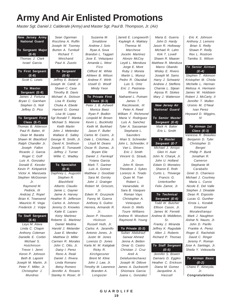## **Army And Air Enlisted Promotions**

*Master Sgt. Daniel J. Calderale (Army) and Master Sgt. Paul B. Thompson, Jr. (Air)*

#### **New Jersey Army National Guard**

**To Sergeant Major (E-9)** *Thomas J. Clark*

*Israel Garcia*

#### **To First Sergeant (E-8)** *Scott C. Lewis*

#### **To Master Sergeant (E-8)**

*James J. Fortuna Bryan C. Garnham Stephen G. Noll Jeffrey D. Pico*

#### **To Sergeant First Class (E-7)**

*Thomas B. Alderson Paul R. Baker, III Dean M. Baratta Shawn M. Blackford Ralph Chandler Jr. Joseph Fallon Ricardo J. Garcia Roger C. Goff Luis A. Gonzalez Donald E. Kessler Kevin P. Kirkpatrick Victor A. Manzueta Stephen McGoonan Jr. Raymond M. Pedrick, III Andrzej Z. Ropel Brian K. Townsend Mauricio R. Vega Frederick J. Volpe*

#### **To Staff Sergeant (E-6)**

*Leyo M. Alava Linda C. Chapin Anthony Coleman Danielle E. Corbin Michael S. Hutchinson Trevor I. Jenni Keron P. Johnson Beth B. Lapoint Joseph M. Martin, Jr. Peter F. Miller, Jr. Christopher J. Mundras*

*Sean Ogorman Rocchina A. Ruffin Joseph W. Toomey Burton A. Turnbull Richard T. Weichand Paul A. Zuzzio*

#### *To Sergeant (E-5)*

*Jeffrey E. Boland Joseph W. Cahill, Jr. Shawn C. Case Timothy B. Davis Michael A. Dickson Lisa R. Easley Chuka A. Ebede Haronit G. Gomez Lisa M. Lopez Sgt Ronald T. Manka Michael S. Marone Keith Martin John J. Melendez Wallace E. Salley George R. Smith, Jr. David A. Smithson Joseph E. Tomasetti Jeffrey J. Turner Willie C. Wadley*

#### **To Specialist (E-4)**

*Daphney L. Augustin Stephen R. Blashfield Alberto Claudio Jamie L. Gayner Jaime A. Harvey Heather R. Jefferson Carlos A. Johnson Jeremy D. Knowles Katie E. Lazaro Keiry Martinez Roberto G. Martinez Daniel Medina Harold J. Melander Juan E. Mendez Matthew D. Miller Carmen R. Morales John C. Otto, Jr. Daisy I. Perez Reno A. Reali Daniel J. Rivera Linda Romano Betsy Romero Jennifer A. Rosario Stanley H. Roser, III*

*Suzanna M. Smaldone Andrew J. Soto Ryan A. Sova Brandon L. Taggart Jose E. Velazquez Amanda L. West Fico Clifford M. White Athleen B. Wilson Andrew F. Wirth Ussell D. Woolf Mindy Yeon*

#### **To Private First Class (E-3)**

*Peter J. B. Ashwell Monica Baez Ryan P. Bodkin Leopold M. Brown Kevin L. Buckholtz Keith M. Burkhart Jason F. Butler Carlos M. Castro, Jr. Dale L. Critchlaw, Jr. Lloyd M. Deans Oscar R. Dumas, Jr. Bryam Elie Daniel J. Farnkopf Yviana Garcia Mark T. Gartner Luis A. Gomez Matthew J. Goodsier Sara M. Gorsky John J. Grainger Robert M. Griscom, Jr. Edwin R. Gruszecki Fanny M. Guerra Anthony S. Gulino Herrera, Armando R. Jr. Jason P. Houston-Hickson Russell Huth, Jr. Carlos A. Jaramillo Antonio Jones, Jr. Justin M. Jones Lorenzo D. Jones Karla M. M. Katigbak Ricky R. Kirchgessner Brent M. Kline John J. Law, Jr. Timothy M. Lawrence Branden A. Longsizer*

*Jarrett E. Longsworth Kayleigh A. Maklary Theresa M. Marchese Jocelin Martinez Alonzo McCoy Leydi L. Mendoza Jorge E. More Ruby J. Moreta Martin L. Munoz Pedro R. Olazabal Luis S. Ortiz Eric J. Pastrana-Rivera Nathanel L. Putnam James T. Raczkowski, III Peter A. Reed William F. Richmond Maria V. Rodriguez Luis A. Sanchez Tyler A. Sassaman Stephanie L. Saunders Ithan S. Schneider John L. Schneider, II Van L. Shivers Eric J. Smith Vincent G. Straub, Jr. John R. Strom Theodore J. Sykes Lorenzo A. Tirado Quan M. Tran Robert L. Vanarsdale, III Sara B. Vasques Roman Vays Christopher A. Velasquez Kevin D. Wells Toure Williams Andrew R. Woodson Raymond R. Young* **To Private (E-2)** *Sultan Abdulrauf Sarwar Ahmed Jenna A. Betten Omar G. Castro Christian J. Cruz Areli A. Delafuentechavez Joseph M. Ditlove James A. Duckworth Shiomara Garcia Juana L. Gonzalez*

*Maria E. Guerra John D. Hardy Jason R. Holloway Michael R. Lahn Kirk T. Lovell Shawn R. Maaser Matthew R. Mendoza Marco Obando Wisley E. Rivero Joseph M. Sams Harry J. Schwartz Andrew J. Steffens Charnie L. Stjean Alyssa R. Stokes Mary J. Watterson*

### *New Jersey Air National Guard*

*To Senior Master Sergeant (E-8) Mark H. Baker Eric L. Smith*

### *To Master*

*Sergeant (E-7) Michael J. Arroyo Glen H. Auer John N. Charyk, Jr. John U. Holland Edwin O. Montalvo Sharon E. Roth Curtis L. Thivierge Francis G. Unterkoefler Felix Zamot, Jr.*

#### *To Technical Sergeant (E-6)*

*Todd W. Butcher Ellison Cason, Jr. James M. Ferretti Andrew B. Middleton, Sr. Franky J. Miranda Jeffrey K. Ragsdale Allen J. Roberts Richard P. Thomas*

#### *To Staff Sergeant (E-5) Jennifer S. Bowen Damaris D. Eggles Heather C. Erickson Diana M. Gomez Jacqueline A. Hassall*

*Eric K. Johnson Anthony J. Lemons Brian S. Reilly Shawn P. Reilly Rex L. Rostrom Tamika S. Wilson*

#### *To Senior Airman (E-4)*

*Stephen T. Atkinson Kristopher M. Chiola Michelle L. Herman Melissa A. Hermann James W. Holdstein Robert J. McCarty, II Jennifer T. Mullen Ursinio M. O'Neal Ivan Perez Heyward D. Wiggins, IV*

#### *To Airman 1st Class (E-3)*

*Vanessa R. Beaulieu Benjamin D. Tyler Christopher D. Berget Phillip P. Bunk Jonathan R. Cameron Stephanie M. Caraballo Ginel D. Charneco Michael J. Courtney Maria L. Curcio Nicole E. Del Valle Stephen J. Dinatale Dean R. Esposito Lucas G. Gunther Kirsta L. Korabik Emanuel Moralesfranqui Mark J. Naughton Aishat N. Nauzo, Jr. John D. Parillo Frankie A. Perez Roger E. Rachelski David C. Ringer Jeremy F. Roman Jose A. Santiago, Jr. Sheila Y. Velezavila*

*To Airman Basic (E-2) Chano F. Almeyda, Jr. Congratulations*